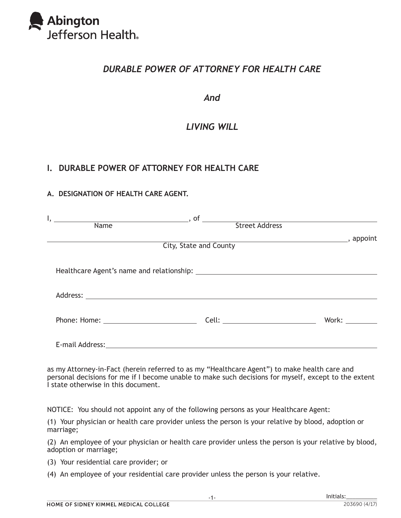

# *DURABLE POWER OF ATTORNEY FOR HEALTH CARE*

*And*

# *LIVING WILL*

### **I. DURABLE POWER OF ATTORNEY FOR HEALTH CARE**

#### **A. DESIGNATION OF HEALTH CARE AGENT.**

|                 | <b>City, State and County</b>   |                 |  |
|-----------------|---------------------------------|-----------------|--|
|                 |                                 |                 |  |
|                 |                                 |                 |  |
|                 | Cell: _________________________ | Work: _________ |  |
| E-mail Address: |                                 |                 |  |

as my Attorney-in-Fact (herein referred to as my "Healthcare Agent") to make health care and personal decisions for me if I become unable to make such decisions for myself, except to the extent I state otherwise in this document.

NOTICE: You should not appoint any of the following persons as your Healthcare Agent:

(1) Your physician or health care provider unless the person is your relative by blood, adoption or marriage;

(2) An employee of your physician or health care provider unless the person is your relative by blood, adoption or marriage;

- (3) Your residential care provider; or
- (4) An employee of your residential care provider unless the person is your relative.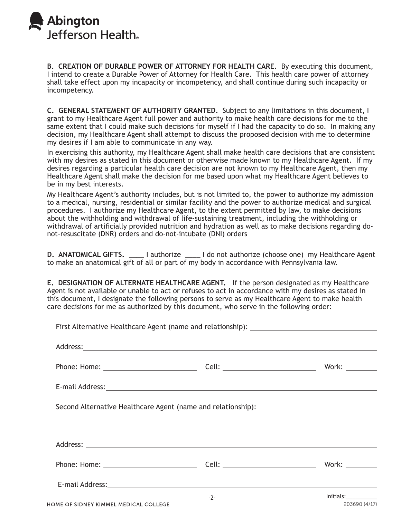

**B. CREATION OF DURABLE POWER OF ATTORNEY FOR HEALTH CARE.** By executing this document, I intend to create a Durable Power of Attorney for Health Care. This health care power of attorney shall take effect upon my incapacity or incompetency, and shall continue during such incapacity or incompetency.

**C. GENERAL STATEMENT OF AUTHORITY GRANTED.** Subject to any limitations in this document, I grant to my Healthcare Agent full power and authority to make health care decisions for me to the same extent that I could make such decisions for myself if I had the capacity to do so. In making any decision, my Healthcare Agent shall attempt to discuss the proposed decision with me to determine my desires if I am able to communicate in any way.

In exercising this authority, my Healthcare Agent shall make health care decisions that are consistent with my desires as stated in this document or otherwise made known to my Healthcare Agent. If my desires regarding a particular health care decision are not known to my Healthcare Agent, then my Healthcare Agent shall make the decision for me based upon what my Healthcare Agent believes to be in my best interests.

My Healthcare Agent's authority includes, but is not limited to, the power to authorize my admission to a medical, nursing, residential or similar facility and the power to authorize medical and surgical procedures. I authorize my Healthcare Agent, to the extent permitted by law, to make decisions about the withholding and withdrawal of life-sustaining treatment, including the withholding or withdrawal of artificially provided nutrition and hydration as well as to make decisions regarding donot-resuscitate (DNR) orders and do-not-intubate (DNI) orders

**D. ANATOMICAL GIFTS.** I authorize 1 do not authorize (choose one) my Healthcare Agent to make an anatomical gift of all or part of my body in accordance with Pennsylvania law.

**E. DESIGNATION OF ALTERNATE HEALTHCARE AGENT.** If the person designated as my Healthcare Agent is not available or unable to act or refuses to act in accordance with my desires as stated in this document, I designate the following persons to serve as my Healthcare Agent to make health care decisions for me as authorized by this document, who serve in the following order:

First Alternative Healthcare Agent (name and relationship):

| Second Alternative Healthcare Agent (name and relationship): |               |
|--------------------------------------------------------------|---------------|
|                                                              |               |
|                                                              | Work:         |
|                                                              |               |
|                                                              |               |
| HOME OF SIDNEY KIMMEL MEDICAL COLLEGE                        | 203690 (4/17) |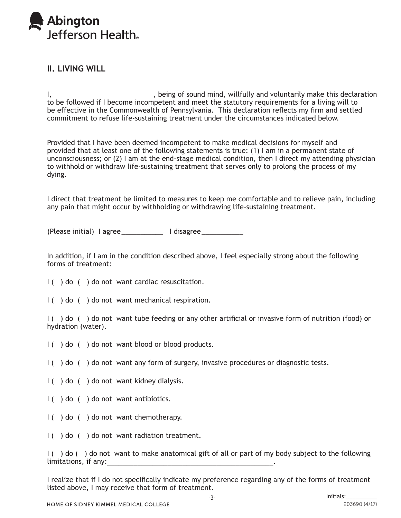

### **II. LIVING WILL**

I, being of sound mind, willfully and voluntarily make this declaration to be followed if I become incompetent and meet the statutory requirements for a living will to be effective in the Commonwealth of Pennsylvania. This declaration reflects my firm and settled commitment to refuse life-sustaining treatment under the circumstances indicated below.

Provided that I have been deemed incompetent to make medical decisions for myself and provided that at least one of the following statements is true: (1) I am in a permanent state of unconsciousness; or (2) I am at the end-stage medical condition, then I direct my attending physician to withhold or withdraw life-sustaining treatment that serves only to prolong the process of my dying.

I direct that treatment be limited to measures to keep me comfortable and to relieve pain, including any pain that might occur by withholding or withdrawing life-sustaining treatment.

(Please initial) l agree \_\_\_\_\_\_\_\_\_\_ l disagree \_\_\_\_\_\_\_\_\_\_\_

In addition, if I am in the condition described above, I feel especially strong about the following forms of treatment:

- I ( ) do ( ) do not want cardiac resuscitation.
- I ( ) do ( ) do not want mechanical respiration.

I() do () do not want tube feeding or any other artificial or invasive form of nutrition (food) or hydration (water).

- I ( ) do ( ) do not want blood or blood products.
- I ( ) do ( ) do not want any form of surgery, invasive procedures or diagnostic tests.
- I ( ) do ( ) do not want kidney dialysis.
- I ( ) do ( ) do not want antibiotics.
- I ( ) do ( ) do not want chemotherapy.
- I ( ) do ( ) do not want radiation treatment.

I () do () do not want to make anatomical gift of all or part of my body subject to the following limitations, if any:

I realize that if I do not specifically indicate my preference regarding any of the forms of treatment listed above, I may receive that form of treatment.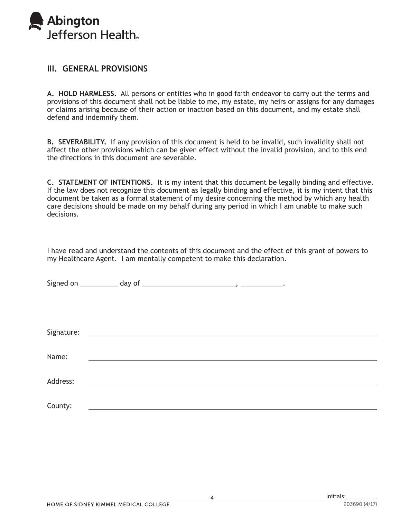

#### **III. GENERAL PROVISIONS**

**A. HOLD HARMLESS.** All persons or entities who in good faith endeavor to carry out the terms and provisions of this document shall not be liable to me, my estate, my heirs or assigns for any damages or claims arising because of their action or inaction based on this document, and my estate shall defend and indemnify them.

**B. SEVERABILITY.** If any provision of this document is held to be invalid, such invalidity shall not affect the other provisions which can be given effect without the invalid provision, and to this end the directions in this document are severable.

**C. STATEMENT OF INTENTIONS.** It is my intent that this document be legally binding and effective. If the law does not recognize this document as legally binding and effective, it is my intent that this document be taken as a formal statement of my desire concerning the method by which any health care decisions should be made on my behalf during any period in which I am unable to make such decisions.

I have read and understand the contents of this document and the effect of this grant of powers to my Healthcare Agent. I am mentally competent to make this declaration.

| Name:    |  |  |
|----------|--|--|
|          |  |  |
|          |  |  |
| Address: |  |  |
|          |  |  |
| County:  |  |  |
|          |  |  |